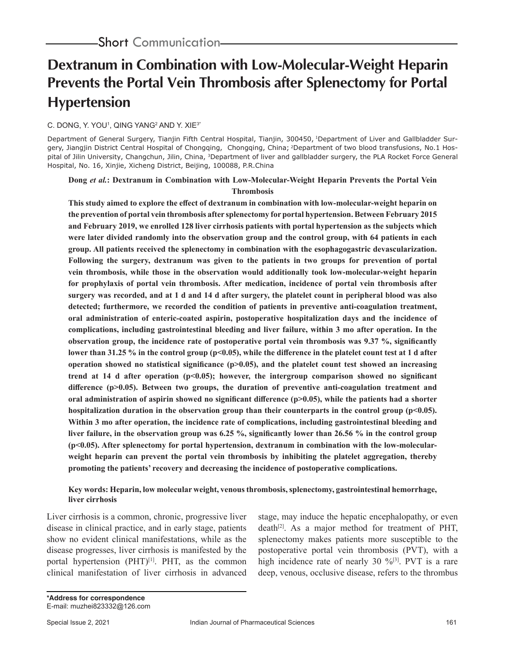# **Dextranum in Combination with Low-Molecular-Weight Heparin Prevents the Portal Vein Thrombosis after Splenectomy for Portal Hypertension**

## C. DONG, Y. YOU', QING YANG<sup>2</sup> AND Y. XIE<sup>3\*</sup>

Department of General Surgery, Tianjin Fifth Central Hospital, Tianjin, 300450, <sup>1</sup>Department of Liver and Gallbladder Surgery, Jiangjin District Central Hospital of Chongqing, Chongqing, China; <sup>2</sup>Department of two blood transfusions, No.1 Hospital of Jilin University, Changchun, Jilin, China, 3Department of liver and gallbladder surgery, the PLA Rocket Force General Hospital, No. 16, Xinjie, Xicheng District, Beijing, 100088, P.R.China

# **Dong** *et al.***: Dextranum in Combination with Low-Molecular-Weight Heparin Prevents the Portal Vein Thrombosis**

**This study aimed to explore the effect of dextranum in combination with low-molecular-weight heparin on the prevention of portal vein thrombosis after splenectomy for portal hypertension. Between February 2015 and February 2019, we enrolled 128 liver cirrhosis patients with portal hypertension as the subjects which were later divided randomly into the observation group and the control group, with 64 patients in each group. All patients received the splenectomy in combination with the esophagogastric devascularization. Following the surgery, dextranum was given to the patients in two groups for prevention of portal vein thrombosis, while those in the observation would additionally took low-molecular-weight heparin for prophylaxis of portal vein thrombosis. After medication, incidence of portal vein thrombosis after surgery was recorded, and at 1 d and 14 d after surgery, the platelet count in peripheral blood was also detected; furthermore, we recorded the condition of patients in preventive anti-coagulation treatment, oral administration of enteric-coated aspirin, postoperative hospitalization days and the incidence of complications, including gastrointestinal bleeding and liver failure, within 3 mo after operation. In the observation group, the incidence rate of postoperative portal vein thrombosis was 9.37 %, significantly**  lower than 31.25 % in the control group (p<0.05), while the difference in the platelet count test at 1 d after **operation showed no statistical significance (p>0.05), and the platelet count test showed an increasing trend at 14 d after operation (p<0.05); however, the intergroup comparison showed no significant difference (p>0.05). Between two groups, the duration of preventive anti-coagulation treatment and**  oral administration of aspirin showed no significant difference (p>0.05), while the patients had a shorter hospitalization duration in the observation group than their counterparts in the control group (p<0.05). **Within 3 mo after operation, the incidence rate of complications, including gastrointestinal bleeding and liver failure, in the observation group was 6.25 %, significantly lower than 26.56 % in the control group (p<0.05). After splenectomy for portal hypertension, dextranum in combination with the low-molecularweight heparin can prevent the portal vein thrombosis by inhibiting the platelet aggregation, thereby promoting the patients' recovery and decreasing the incidence of postoperative complications.** 

## **Key words: Heparin, low molecular weight, venous thrombosis, splenectomy, gastrointestinal hemorrhage, liver cirrhosis**

Liver cirrhosis is a common, chronic, progressive liver disease in clinical practice, and in early stage, patients show no evident clinical manifestations, while as the disease progresses, liver cirrhosis is manifested by the portal hypertension (PHT)<sup>[1]</sup>. PHT, as the common clinical manifestation of liver cirrhosis in advanced stage, may induce the hepatic encephalopathy, or even  $death^{[2]}$ . As a major method for treatment of PHT, splenectomy makes patients more susceptible to the postoperative portal vein thrombosis (PVT), with a high incidence rate of nearly 30 %<sup>[3]</sup>. PVT is a rare deep, venous, occlusive disease, refers to the thrombus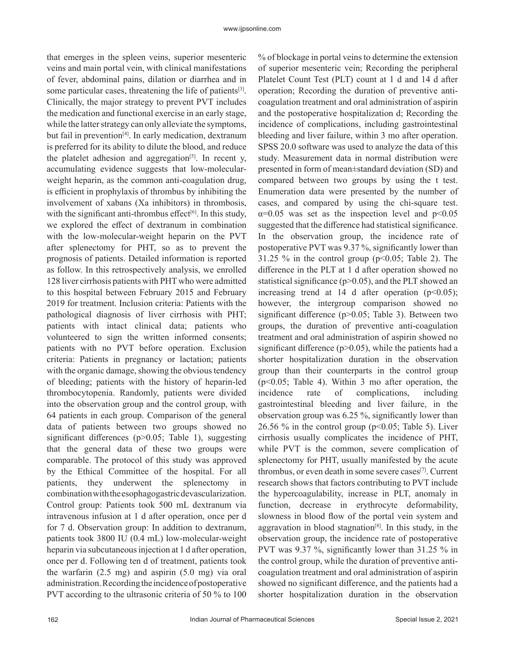that emerges in the spleen veins, superior mesenteric veins and main portal vein, with clinical manifestations of fever, abdominal pains, dilation or diarrhea and in some particular cases, threatening the life of patients<sup>[3]</sup>. Clinically, the major strategy to prevent PVT includes the medication and functional exercise in an early stage, while the latter strategy can only alleviate the symptoms, but fail in prevention<sup>[4]</sup>. In early medication, dextranum is preferred for its ability to dilute the blood, and reduce the platelet adhesion and aggregation<sup>[5]</sup>. In recent y, accumulating evidence suggests that low-molecularweight heparin, as the common anti-coagulation drug, is efficient in prophylaxis of thrombus by inhibiting the involvement of xabans (Xa inhibitors) in thrombosis, with the significant anti-thrombus effect $[6]$ . In this study, we explored the effect of dextranum in combination with the low-molecular-weight heparin on the PVT after splenectomy for PHT, so as to prevent the prognosis of patients. Detailed information is reported as follow. In this retrospectively analysis, we enrolled 128 liver cirrhosis patients with PHT who were admitted to this hospital between February 2015 and February 2019 for treatment. Inclusion criteria: Patients with the pathological diagnosis of liver cirrhosis with PHT; patients with intact clinical data; patients who volunteered to sign the written informed consents; patients with no PVT before operation. Exclusion criteria: Patients in pregnancy or lactation; patients with the organic damage, showing the obvious tendency of bleeding; patients with the history of heparin-led thrombocytopenia. Randomly, patients were divided into the observation group and the control group, with 64 patients in each group. Comparison of the general data of patients between two groups showed no significant differences (p>0.05; Table 1), suggesting that the general data of these two groups were comparable. The protocol of this study was approved by the Ethical Committee of the hospital. For all patients, they underwent the splenectomy in combination with the esophagogastric devascularization. Control group: Patients took 500 mL dextranum via intravenous infusion at 1 d after operation, once per d for 7 d. Observation group: In addition to dextranum, patients took 3800 IU (0.4 mL) low-molecular-weight heparin via subcutaneous injection at 1 d after operation, once per d. Following ten d of treatment, patients took the warfarin (2.5 mg) and aspirin (5.0 mg) via oral administration. Recording the incidence of postoperative PVT according to the ultrasonic criteria of 50 % to 100 % of blockage in portal veins to determine the extension of superior mesenteric vein; Recording the peripheral Platelet Count Test (PLT) count at 1 d and 14 d after operation; Recording the duration of preventive anticoagulation treatment and oral administration of aspirin and the postoperative hospitalization d; Recording the incidence of complications, including gastrointestinal bleeding and liver failure, within 3 mo after operation. SPSS 20.0 software was used to analyze the data of this study. Measurement data in normal distribution were presented in form of mean±standard deviation (SD) and compared between two groups by using the t test. Enumeration data were presented by the number of cases, and compared by using the chi-square test.  $\alpha$ =0.05 was set as the inspection level and p<0.05 suggested that the difference had statistical significance. In the observation group, the incidence rate of postoperative PVT was 9.37 %, significantly lower than 31.25 % in the control group ( $p<0.05$ ; Table 2). The difference in the PLT at 1 d after operation showed no statistical significance ( $p$  $>$ 0.05), and the PLT showed an increasing trend at 14 d after operation  $(p<0.05)$ ; however, the intergroup comparison showed no significant difference (p>0.05; Table 3). Between two groups, the duration of preventive anti-coagulation treatment and oral administration of aspirin showed no significant difference ( $p$ >0.05), while the patients had a shorter hospitalization duration in the observation group than their counterparts in the control group (p<0.05; Table 4). Within 3 mo after operation, the incidence rate of complications, including gastrointestinal bleeding and liver failure, in the observation group was 6.25 %, significantly lower than 26.56 % in the control group ( $p<0.05$ ; Table 5). Liver cirrhosis usually complicates the incidence of PHT, while PVT is the common, severe complication of splenectomy for PHT, usually manifested by the acute thrombus, or even death in some severe cases[7]. Current research shows that factors contributing to PVT include the hypercoagulability, increase in PLT, anomaly in function, decrease in erythrocyte deformability, slowness in blood flow of the portal vein system and aggravation in blood stagnation<sup>[8]</sup>. In this study, in the observation group, the incidence rate of postoperative PVT was 9.37 %, significantly lower than 31.25 % in the control group, while the duration of preventive anticoagulation treatment and oral administration of aspirin showed no significant difference, and the patients had a shorter hospitalization duration in the observation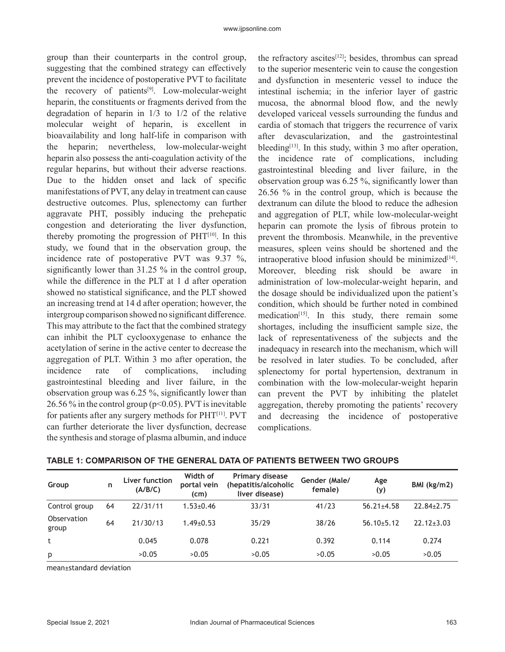group than their counterparts in the control group, suggesting that the combined strategy can effectively prevent the incidence of postoperative PVT to facilitate the recovery of patients<sup>[9]</sup>. Low-molecular-weight heparin, the constituents or fragments derived from the degradation of heparin in 1/3 to 1/2 of the relative molecular weight of heparin, is excellent in bioavailability and long half-life in comparison with the heparin; nevertheless, low-molecular-weight heparin also possess the anti-coagulation activity of the regular heparins, but without their adverse reactions. Due to the hidden onset and lack of specific manifestations of PVT, any delay in treatment can cause destructive outcomes. Plus, splenectomy can further aggravate PHT, possibly inducing the prehepatic congestion and deteriorating the liver dysfunction, thereby promoting the progression of  $PHT<sup>[10]</sup>$ . In this study, we found that in the observation group, the incidence rate of postoperative PVT was 9.37 %, significantly lower than 31.25 % in the control group, while the difference in the PLT at 1 d after operation showed no statistical significance, and the PLT showed an increasing trend at 14 d after operation; however, the intergroup comparison showed no significant difference. This may attribute to the fact that the combined strategy can inhibit the PLT cyclooxygenase to enhance the acetylation of serine in the active center to decrease the aggregation of PLT. Within 3 mo after operation, the incidence rate of complications, including gastrointestinal bleeding and liver failure, in the observation group was 6.25 %, significantly lower than 26.56 % in the control group ( $p<0.05$ ). PVT is inevitable for patients after any surgery methods for PHT[11]. PVT can further deteriorate the liver dysfunction, decrease the synthesis and storage of plasma albumin, and induce the refractory ascites<sup>[12]</sup>; besides, thrombus can spread to the superior mesenteric vein to cause the congestion and dysfunction in mesenteric vessel to induce the intestinal ischemia; in the inferior layer of gastric mucosa, the abnormal blood flow, and the newly developed variceal vessels surrounding the fundus and cardia of stomach that triggers the recurrence of varix after devascularization, and the gastrointestinal bleeding $[13]$ . In this study, within 3 mo after operation, the incidence rate of complications, including gastrointestinal bleeding and liver failure, in the observation group was 6.25 %, significantly lower than 26.56 % in the control group, which is because the dextranum can dilute the blood to reduce the adhesion and aggregation of PLT, while low-molecular-weight heparin can promote the lysis of fibrous protein to prevent the thrombosis. Meanwhile, in the preventive measures, spleen veins should be shortened and the intraoperative blood infusion should be minimized $[14]$ . Moreover, bleeding risk should be aware in administration of low-molecular-weight heparin, and the dosage should be individualized upon the patient's condition, which should be further noted in combined medication<sup>[15]</sup>. In this study, there remain some shortages, including the insufficient sample size, the lack of representativeness of the subjects and the inadequacy in research into the mechanism, which will be resolved in later studies. To be concluded, after splenectomy for portal hypertension, dextranum in combination with the low-molecular-weight heparin can prevent the PVT by inhibiting the platelet aggregation, thereby promoting the patients' recovery and decreasing the incidence of postoperative complications.

| Group                | n  | Liver function<br>(A/B/C) | Width of<br>portal vein<br>(cm) | <b>Primary disease</b><br>(hepatitis/alcoholic<br>liver disease) | Gender (Male/<br>female) | Age<br>(y)       | BMI (kg/m2)      |
|----------------------|----|---------------------------|---------------------------------|------------------------------------------------------------------|--------------------------|------------------|------------------|
| Control group        | 64 | 22/31/11                  | $1.53 \pm 0.46$                 | 33/31                                                            | 41/23                    | $56.21 \pm 4.58$ | $22.84 \pm 2.75$ |
| Observation<br>group | 64 | 21/30/13                  | $1.49 \pm 0.53$                 | 35/29                                                            | 38/26                    | $56.10 \pm 5.12$ | $22.12 \pm 3.03$ |
|                      |    | 0.045                     | 0.078                           | 0.221                                                            | 0.392                    | 0.114            | 0.274            |
| p                    |    | >0.05                     | >0.05                           | >0.05                                                            | >0.05                    | >0.05            | >0.05            |

mean±standard deviation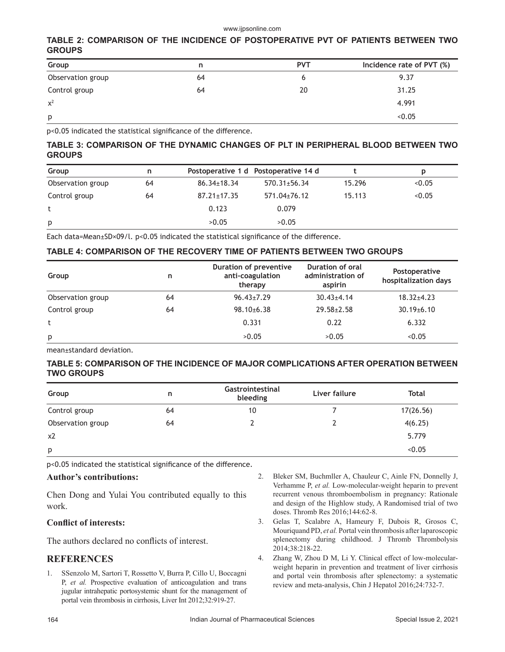#### www.ijpsonline.com

# **TABLE 2: COMPARISON OF THE INCIDENCE OF POSTOPERATIVE PVT OF PATIENTS BETWEEN TWO GROUPS**

| Group             | n  | <b>PVT</b> | Incidence rate of PVT (%) |
|-------------------|----|------------|---------------------------|
| Observation group | 64 |            | 9.37                      |
| Control group     | 64 | 20         | 31.25                     |
| $x^2$             |    |            | 4.991                     |
| p                 |    |            | < 0.05                    |

p<0.05 indicated the statistical significance of the difference.

# **TABLE 3: COMPARISON OF THE DYNAMIC CHANGES OF PLT IN PERIPHERAL BLOOD BETWEEN TWO GROUPS**

| Group             | n  | Postoperative 1 d Postoperative 14 d |                    |        | p      |
|-------------------|----|--------------------------------------|--------------------|--------|--------|
| Observation group | 64 | $86.34 \pm 18.34$                    | $570.31 \pm 56.34$ | 15.296 | < 0.05 |
| Control group     | 64 | $87.21 \pm 17.35$                    | 571.04±76.12       | 15.113 | < 0.05 |
|                   |    | 0.123                                | 0.079              |        |        |
| p                 |    | >0.05                                | >0.05              |        |        |

Each data=Mean±SD×09/l. p<0.05 indicated the statistical significance of the difference.

# **TABLE 4: COMPARISON OF THE RECOVERY TIME OF PATIENTS BETWEEN TWO GROUPS**

| Group             | n  | Duration of preventive<br>anti-coagulation<br>therapy | Duration of oral<br>administration of<br>aspirin | Postoperative<br>hospitalization days |
|-------------------|----|-------------------------------------------------------|--------------------------------------------------|---------------------------------------|
| Observation group | 64 | $96.43 \pm 7.29$                                      | $30.43 \pm 4.14$                                 | $18.32{\pm}4.23$                      |
| Control group     | 64 | $98.10{\pm}6.38$                                      | $29.58 \pm 2.58$                                 | $30.19 \pm 6.10$                      |
|                   |    | 0.331                                                 | 0.22                                             | 6.332                                 |
| p                 |    | >0.05                                                 | >0.05                                            | < 0.05                                |

mean±standard deviation.

## **TABLE 5: COMPARISON OF THE INCIDENCE OF MAJOR COMPLICATIONS AFTER OPERATION BETWEEN TWO GROUPS**

| Group             | n  | Gastrointestinal<br>bleeding | Liver failure | Total     |
|-------------------|----|------------------------------|---------------|-----------|
| Control group     | 64 | 10                           |               | 17(26.56) |
| Observation group | 64 |                              |               | 4(6.25)   |
| x2                |    |                              |               | 5.779     |
| p                 |    |                              |               | < 0.05    |

p<0.05 indicated the statistical significance of the difference.

#### **Author's contributions:**

Chen Dong and Yulai You contributed equally to this work.

# **Conflict of interests:**

The authors declared no conflicts of interest.

# **REFERENCES**

- 1. SSenzolo M, Sartori T, Rossetto V, Burra P, Cillo U, Boccagni P, *et al.* Prospective evaluation of anticoagulation and trans jugular intrahepatic portosystemic shunt for the management of portal vein thrombosis in cirrhosis, Liver Int 2012;32:919-27.
- 2. Bleker SM, Buchmller A, Chauleur C, Ainle FN, Donnelly J, Verhamme P, *et al.* Low-molecular-weight heparin to prevent recurrent venous thromboembolism in pregnancy: Rationale and design of the Highlow study, A Randomised trial of two doses. Thromb Res 2016;144:62-8.
- 3. Gelas T, Scalabre A, Hameury F, Dubois R, Grosos C, Mouriquand PD, *et al.* Portal vein thrombosis after laparoscopic splenectomy during childhood. J Thromb Thrombolysis 2014;38:218-22.
- 4. Zhang W, Zhou D M, Li Y. Clinical effect of low-molecularweight heparin in prevention and treatment of liver cirrhosis and portal vein thrombosis after splenectomy: a systematic review and meta-analysis, Chin J Hepatol 2016;24:732-7.